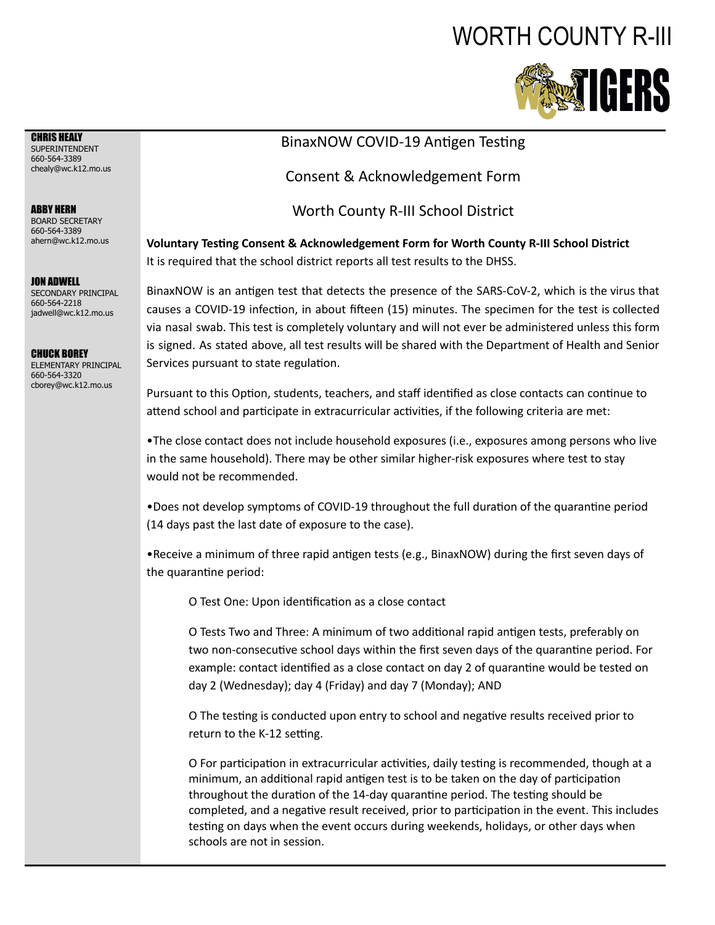## WORTH COUNTY R-III



CHRIS HEALY SUPERINTENDENT 660-564-3389 chealy@wc.k12.mo.us

ABBY HERN BOARD SECRETARY 660-564-3389 ahern@wc.k12.mo.us

JON ADWELL SECONDARY PRINCIPAL 660-564-2218 jadwell@wc.k12.mo.us

CHUCK BOREY

ELEMENTARY PRINCIPAL 660-564-3320 cborey@wc.k12.mo.us

## BinaxNOW COVID-19 Antigen Testing

Consent & Acknowledgement Form

Worth County R-III School District

**Voluntary Tesng Consent & Acknowledgement Form for Worth County R-III School District** It is required that the school district reports all test results to the DHSS.

BinaxNOW is an antigen test that detects the presence of the SARS-CoV-2, which is the virus that causes a COVID-19 infection, in about fifteen (15) minutes. The specimen for the test is collected via nasal swab. This test is completely voluntary and will not ever be administered unless this form is signed. As stated above, all test results will be shared with the Department of Health and Senior Services pursuant to state regulation.

Pursuant to this Option, students, teachers, and staff identified as close contacts can continue to attend school and participate in extracurricular activities, if the following criteria are met:

•The close contact does not include household exposures (i.e., exposures among persons who live in the same household). There may be other similar higher-risk exposures where test to stay would not be recommended.

•Does not develop symptoms of COVID-19 throughout the full duration of the quarantine period (14 days past the last date of exposure to the case).

• Receive a minimum of three rapid antigen tests (e.g., BinaxNOW) during the first seven days of the quarantine period:

O Test One: Upon identification as a close contact

O Tests Two and Three: A minimum of two additional rapid antigen tests, preferably on two non-consecutive school days within the first seven days of the quarantine period. For example: contact identified as a close contact on day 2 of quarantine would be tested on day 2 (Wednesday); day 4 (Friday) and day 7 (Monday); AND

O The testing is conducted upon entry to school and negative results received prior to return to the K-12 setting.

O For participation in extracurricular activities, daily testing is recommended, though at a minimum, an additional rapid antigen test is to be taken on the day of participation throughout the duration of the 14-day quarantine period. The testing should be completed, and a negative result received, prior to participation in the event. This includes testing on days when the event occurs during weekends, holidays, or other days when schools are not in session.